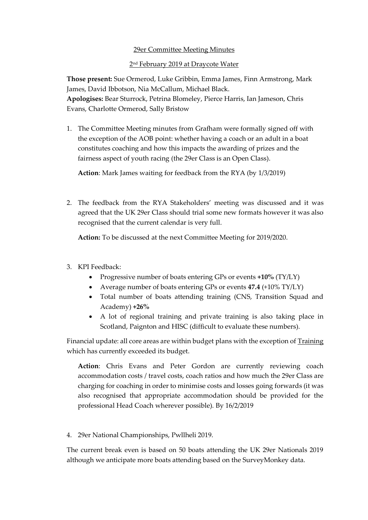## 29er Committee Meeting Minutes

## 2<u>nd February 2019 at Draycote Water</u>

**Those present:** Sue Ormerod, Luke Gribbin, Emma James, Finn Armstrong, Mark James, David Ibbotson, Nia McCallum, Michael Black. **Apologises:** Bear Sturrock, Petrina Blomeley, Pierce Harris, Ian Jameson, Chris Evans, Charlotte Ormerod, Sally Bristow

1. The Committee Meeting minutes from Grafham were formally signed off with the exception of the AOB point: whether having a coach or an adult in a boat constitutes coaching and how this impacts the awarding of prizes and the fairness aspect of youth racing (the 29er Class is an Open Class).

**Action**: Mark James waiting for feedback from the RYA (by 1/3/2019)

2. The feedback from the RYA Stakeholders' meeting was discussed and it was agreed that the UK 29er Class should trial some new formats however it was also recognised that the current calendar is very full.

**Action:** To be discussed at the next Committee Meeting for 2019/2020.

- 3. KPI Feedback:
	- Progressive number of boats entering GPs or events **+10%** (TY/LY)
	- Average number of boats entering GPs or events **47.4** (+10% TY/LY)
	- Total number of boats attending training (CNS, Transition Squad and Academy) **+26%**
	- A lot of regional training and private training is also taking place in Scotland, Paignton and HISC (difficult to evaluate these numbers).

Financial update: all core areas are within budget plans with the exception of Training which has currently exceeded its budget.

**Action**: Chris Evans and Peter Gordon are currently reviewing coach accommodation costs / travel costs, coach ratios and how much the 29er Class are charging for coaching in order to minimise costs and losses going forwards (it was also recognised that appropriate accommodation should be provided for the professional Head Coach wherever possible). By 16/2/2019

4. 29er National Championships, Pwllheli 2019.

The current break even is based on 50 boats attending the UK 29er Nationals 2019 although we anticipate more boats attending based on the SurveyMonkey data.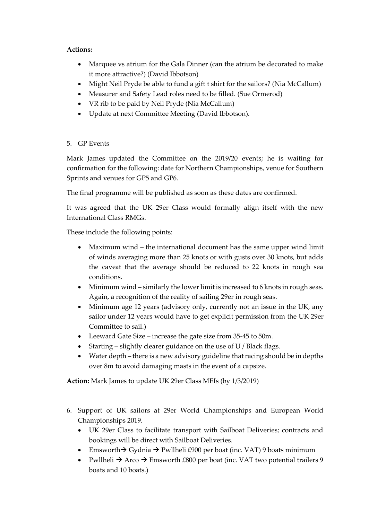## **Actions:**

- Marquee vs atrium for the Gala Dinner (can the atrium be decorated to make it more attractive?) (David Ibbotson)
- Might Neil Pryde be able to fund a gift t shirt for the sailors? (Nia McCallum)
- Measurer and Safety Lead roles need to be filled. (Sue Ormerod)
- VR rib to be paid by Neil Pryde (Nia McCallum)
- Update at next Committee Meeting (David Ibbotson).
- 5. GP Events

Mark James updated the Committee on the 2019/20 events; he is waiting for confirmation for the following: date for Northern Championships, venue for Southern Sprints and venues for GP5 and GP6.

The final programme will be published as soon as these dates are confirmed.

It was agreed that the UK 29er Class would formally align itself with the new International Class RMGs.

These include the following points:

- Maximum wind the international document has the same upper wind limit of winds averaging more than 25 knots or with gusts over 30 knots, but adds the caveat that the average should be reduced to 22 knots in rough sea conditions.
- Minimum wind similarly the lower limit is increased to 6 knots in rough seas. Again, a recognition of the reality of sailing 29er in rough seas.
- Minimum age 12 years (advisory only, currently not an issue in the UK, any sailor under 12 years would have to get explicit permission from the UK 29er Committee to sail.)
- Leeward Gate Size increase the gate size from 35-45 to 50m.
- Starting slightly clearer guidance on the use of U / Black flags.
- Water depth there is a new advisory guideline that racing should be in depths over 8m to avoid damaging masts in the event of a capsize.

**Action:** Mark James to update UK 29er Class MEIs (by 1/3/2019)

- 6. Support of UK sailors at 29er World Championships and European World Championships 2019.
	- UK 29er Class to facilitate transport with Sailboat Deliveries; contracts and bookings will be direct with Sailboat Deliveries.
	- Emsworth → Gydnia → Pwllheli £900 per boat (inc. VAT) 9 boats minimum
	- Pwllheli  $\rightarrow$  Arco  $\rightarrow$  Emsworth £800 per boat (inc. VAT two potential trailers 9 boats and 10 boats.)